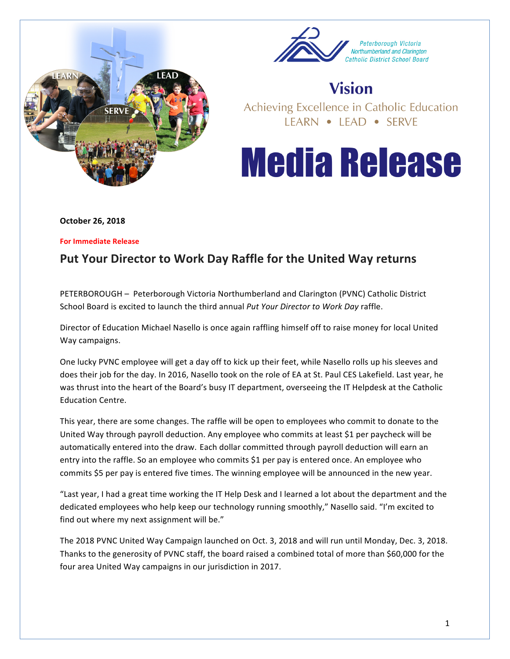



## **Vision**

Achieving Excellence in Catholic Education LEARN • LEAD • SERVE

## **Media Release**

**October 26, 2018**

**For Immediate Release** 

## Put Your Director to Work Day Raffle for the United Way returns

PETERBOROUGH - Peterborough Victoria Northumberland and Clarington (PVNC) Catholic District School Board is excited to launch the third annual *Put Your Director to Work Day* raffle.

Director of Education Michael Nasello is once again raffling himself off to raise money for local United Way campaigns.

One lucky PVNC employee will get a day off to kick up their feet, while Nasello rolls up his sleeves and does their job for the day. In 2016, Nasello took on the role of EA at St. Paul CES Lakefield. Last year, he was thrust into the heart of the Board's busy IT department, overseeing the IT Helpdesk at the Catholic Education Centre.

This year, there are some changes. The raffle will be open to employees who commit to donate to the United Way through payroll deduction. Any employee who commits at least \$1 per paycheck will be automatically entered into the draw. Each dollar committed through payroll deduction will earn an entry into the raffle. So an employee who commits \$1 per pay is entered once. An employee who commits \$5 per pay is entered five times. The winning employee will be announced in the new year.

"Last year, I had a great time working the IT Help Desk and I learned a lot about the department and the dedicated employees who help keep our technology running smoothly," Nasello said. "I'm excited to find out where my next assignment will be."

The 2018 PVNC United Way Campaign launched on Oct. 3, 2018 and will run until Monday, Dec. 3, 2018. Thanks to the generosity of PVNC staff, the board raised a combined total of more than \$60,000 for the four area United Way campaigns in our jurisdiction in 2017.